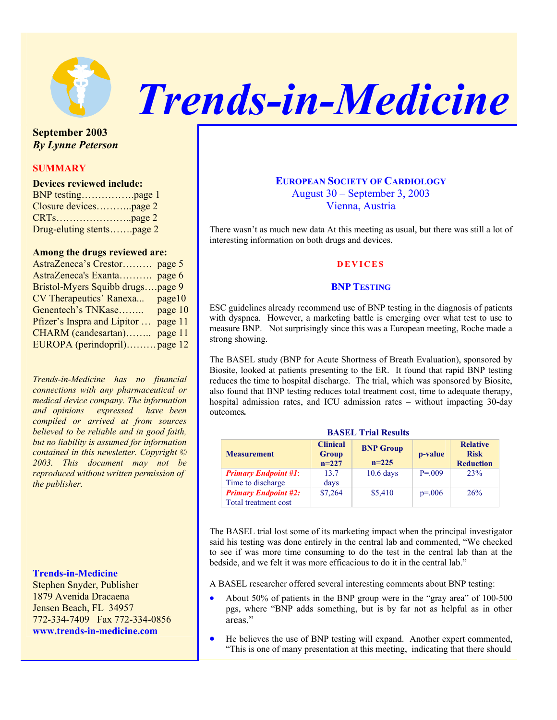

 *Trends-in-Medicine*

**September 2003**  *By Lynne Peterson* 

# **SUMMARY**

### **Devices reviewed include:**

| BNP testingpage 1         |  |
|---------------------------|--|
| Closure devicespage 2     |  |
|                           |  |
| Drug-eluting stentspage 2 |  |

# **Among the drugs reviewed are:**

| AstraZeneca's Crestor page 5         |        |
|--------------------------------------|--------|
| AstraZeneca's Exanta page 6          |        |
| Bristol-Myers Squibb drugspage 9     |        |
| CV Therapeutics' Ranexa              | page10 |
| Genentech's TNKase page 10           |        |
| Pfizer's Inspra and Lipitor  page 11 |        |
| CHARM (candesartan) page 11          |        |
| EUROPA (perindopril)page 12          |        |
|                                      |        |

*Trends-in-Medicine has no financial connections with any pharmaceutical or medical device company. The information and opinions expressed have been compiled or arrived at from sources believed to be reliable and in good faith, but no liability is assumed for information contained in this newsletter. Copyright © 2003. This document may not be reproduced without written permission of the publisher.* 

### **Trends-in-Medicine**

Stephen Snyder, Publisher 1879 Avenida Dracaena Jensen Beach, FL 34957 772-334-7409 Fax 772-334-0856 **www.trends-in-medicine.com**

# **EUROPEAN SOCIETY OF CARDIOLOGY**

August 30 – September 3, 2003 Vienna, Austria

There wasn't as much new data At this meeting as usual, but there was still a lot of interesting information on both drugs and devices.

### **DEVICES**

### **BNP TESTING**

ESC guidelines already recommend use of BNP testing in the diagnosis of patients with dyspnea. However, a marketing battle is emerging over what test to use to measure BNP. Not surprisingly since this was a European meeting, Roche made a strong showing.

The BASEL study (BNP for Acute Shortness of Breath Evaluation), sponsored by Biosite, looked at patients presenting to the ER. It found that rapid BNP testing reduces the time to hospital discharge. The trial, which was sponsored by Biosite, also found that BNP testing reduces total treatment cost, time to adequate therapy, hospital admission rates, and ICU admission rates – without impacting 30-day outcomes*.* 

| <b>BASEL Trial Results</b> |  |  |
|----------------------------|--|--|
|                            |  |  |

| <b>Measurement</b>          | <b>Clinical</b><br>Group<br>$n=227$ | <b>BNP Group</b><br>$n=225$ | p-value     | <b>Relative</b><br><b>Risk</b><br><b>Reduction</b> |
|-----------------------------|-------------------------------------|-----------------------------|-------------|----------------------------------------------------|
| <b>Primary Endpoint #1:</b> | 13.7                                | $10.6$ days                 | $P = 009$   | 23%                                                |
| Time to discharge           | days                                |                             |             |                                                    |
| <b>Primary Endpoint #2:</b> | \$7.264                             | \$5,410                     | $p = 0.006$ | 26%                                                |
| Total treatment cost        |                                     |                             |             |                                                    |

The BASEL trial lost some of its marketing impact when the principal investigator said his testing was done entirely in the central lab and commented, "We checked to see if was more time consuming to do the test in the central lab than at the bedside, and we felt it was more efficacious to do it in the central lab."

A BASEL researcher offered several interesting comments about BNP testing:

- About 50% of patients in the BNP group were in the "gray area" of 100-500 pgs, where "BNP adds something, but is by far not as helpful as in other areas."
- He believes the use of BNP testing will expand. Another expert commented, "This is one of many presentation at this meeting, indicating that there should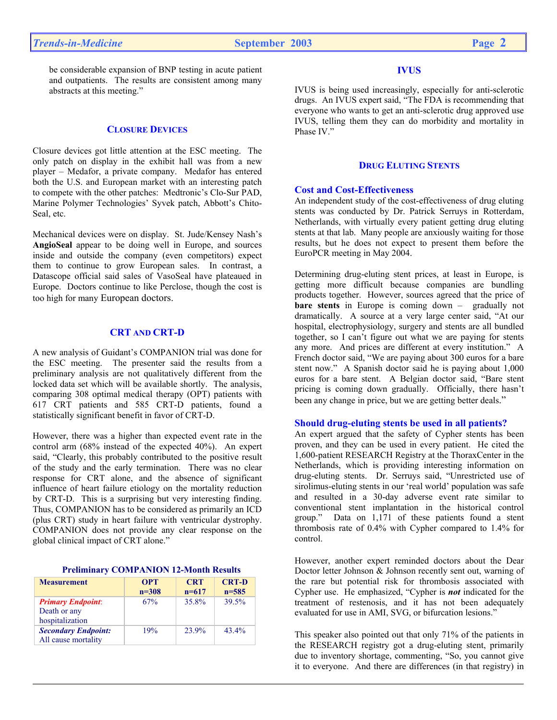be considerable expansion of BNP testing in acute patient and outpatients. The results are consistent among many abstracts at this meeting."

# **CLOSURE DEVICES**

Closure devices got little attention at the ESC meeting. The only patch on display in the exhibit hall was from a new player – Medafor, a private company. Medafor has entered both the U.S. and European market with an interesting patch to compete with the other patches: Medtronic's Clo-Sur PAD, Marine Polymer Technologies' Syvek patch, Abbott's Chito-Seal, etc.

Mechanical devices were on display. St. Jude/Kensey Nash's **AngioSeal** appear to be doing well in Europe, and sources inside and outside the company (even competitors) expect them to continue to grow European sales. In contrast, a Datascope official said sales of VasoSeal have plateaued in Europe. Doctors continue to like Perclose, though the cost is too high for many European doctors.

# **CRT AND CRT-D**

A new analysis of Guidant's COMPANION trial was done for the ESC meeting. The presenter said the results from a preliminary analysis are not qualitatively different from the locked data set which will be available shortly. The analysis, comparing 308 optimal medical therapy (OPT) patients with 617 CRT patients and 585 CRT-D patients, found a statistically significant benefit in favor of CRT-D.

However, there was a higher than expected event rate in the control arm (68% instead of the expected 40%). An expert said, "Clearly, this probably contributed to the positive result of the study and the early termination. There was no clear response for CRT alone, and the absence of significant influence of heart failure etiology on the mortality reduction by CRT-D. This is a surprising but very interesting finding. Thus, COMPANION has to be considered as primarily an ICD (plus CRT) study in heart failure with ventricular dystrophy. COMPANION does not provide any clear response on the global clinical impact of CRT alone."

# **Preliminary COMPANION 12-Month Results**

| <b>Measurement</b>                                          | <b>OPT</b><br>$n=308$ | <b>CRT</b><br>$n=617$ | <b>CRT-D</b><br>$n = 585$ |
|-------------------------------------------------------------|-----------------------|-----------------------|---------------------------|
| <b>Primary Endpoint:</b><br>Death or any<br>hospitalization | 67%                   | 35.8%                 | 39.5%                     |
| <b>Secondary Endpoint:</b><br>All cause mortality           | 19%                   | 23.9%                 | 43.4%                     |

# **IVUS**

IVUS is being used increasingly, especially for anti-sclerotic drugs. An IVUS expert said, "The FDA is recommending that everyone who wants to get an anti-sclerotic drug approved use IVUS, telling them they can do morbidity and mortality in Phase IV."

### **DRUG ELUTING STENTS**

### **Cost and Cost-Effectiveness**

An independent study of the cost-effectiveness of drug eluting stents was conducted by Dr. Patrick Serruys in Rotterdam, Netherlands, with virtually every patient getting drug eluting stents at that lab. Many people are anxiously waiting for those results, but he does not expect to present them before the EuroPCR meeting in May 2004.

Determining drug-eluting stent prices, at least in Europe, is getting more difficult because companies are bundling products together. However, sources agreed that the price of **bare stents** in Europe is coming down – gradually not dramatically. A source at a very large center said, "At our hospital, electrophysiology, surgery and stents are all bundled together, so I can't figure out what we are paying for stents any more. And prices are different at every institution." A French doctor said, "We are paying about 300 euros for a bare stent now." A Spanish doctor said he is paying about 1,000 euros for a bare stent. A Belgian doctor said, "Bare stent pricing is coming down gradually. Officially, there hasn't been any change in price, but we are getting better deals."

### **Should drug-eluting stents be used in all patients?**

An expert argued that the safety of Cypher stents has been proven, and they can be used in every patient. He cited the 1,600-patient RESEARCH Registry at the ThoraxCenter in the Netherlands, which is providing interesting information on drug-eluting stents. Dr. Serruys said, "Unrestricted use of sirolimus-eluting stents in our 'real world' population was safe and resulted in a 30-day adverse event rate similar to conventional stent implantation in the historical control group." Data on 1,171 of these patients found a stent thrombosis rate of 0.4% with Cypher compared to 1.4% for control.

However, another expert reminded doctors about the Dear Doctor letter Johnson & Johnson recently sent out, warning of the rare but potential risk for thrombosis associated with Cypher use. He emphasized, "Cypher is *not* indicated for the treatment of restenosis, and it has not been adequately evaluated for use in AMI, SVG, or bifurcation lesions."

This speaker also pointed out that only 71% of the patients in the RESEARCH registry got a drug-eluting stent, primarily due to inventory shortage, commenting, "So, you cannot give it to everyone. And there are differences (in that registry) in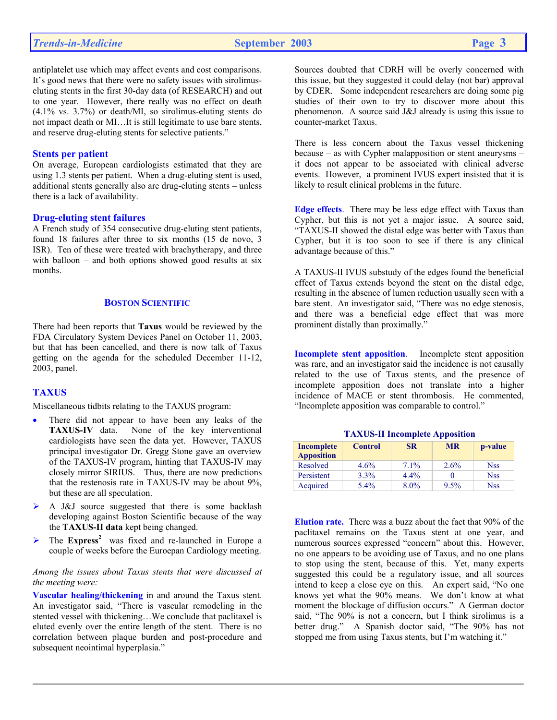antiplatelet use which may affect events and cost comparisons. It's good news that there were no safety issues with sirolimuseluting stents in the first 30-day data (of RESEARCH) and out to one year. However, there really was no effect on death (4.1% vs. 3.7%) or death/MI, so sirolimus-eluting stents do not impact death or MI…It is still legitimate to use bare stents, and reserve drug-eluting stents for selective patients."

### **Stents per patient**

On average, European cardiologists estimated that they are using 1.3 stents per patient. When a drug-eluting stent is used, additional stents generally also are drug-eluting stents – unless there is a lack of availability.

### **Drug-eluting stent failures**

A French study of 354 consecutive drug-eluting stent patients, found 18 failures after three to six months (15 de novo, 3 ISR). Ten of these were treated with brachytherapy, and three with balloon – and both options showed good results at six months.

### **BOSTON SCIENTIFIC**

There had been reports that **Taxus** would be reviewed by the FDA Circulatory System Devices Panel on October 11, 2003, but that has been cancelled, and there is now talk of Taxus getting on the agenda for the scheduled December 11-12, 2003, panel.

# **TAXUS**

Miscellaneous tidbits relating to the TAXUS program:

- There did not appear to have been any leaks of the **TAXUS-IV** data. None of the key interventional cardiologists have seen the data yet. However, TAXUS principal investigator Dr. Gregg Stone gave an overview of the TAXUS-IV program, hinting that TAXUS-IV may closely mirror SIRIUS. Thus, there are now predictions that the restenosis rate in TAXUS-IV may be about 9%, but these are all speculation.
- $\triangleright$  A J&J source suggested that there is some backlash developing against Boston Scientific because of the way the **TAXUS-II data** kept being changed.
- ¾ The **Express<sup>2</sup>**was fixed and re-launched in Europe a couple of weeks before the Euroepan Cardiology meeting.

# *Among the issues about Taxus stents that were discussed at the meeting were:*

**Vascular healing/thickening** in and around the Taxus stent. An investigator said, "There is vascular remodeling in the stented vessel with thickening…We conclude that paclitaxel is eluted evenly over the entire length of the stent. There is no correlation between plaque burden and post-procedure and subsequent neointimal hyperplasia."

Sources doubted that CDRH will be overly concerned with this issue, but they suggested it could delay (not bar) approval by CDER. Some independent researchers are doing some pig studies of their own to try to discover more about this phenomenon. A source said J&J already is using this issue to counter-market Taxus.

There is less concern about the Taxus vessel thickening because – as with Cypher malapposition or stent aneurysms – it does not appear to be associated with clinical adverse events. However, a prominent IVUS expert insisted that it is likely to result clinical problems in the future.

**Edge effects**. There may be less edge effect with Taxus than Cypher, but this is not yet a major issue. A source said, "TAXUS-II showed the distal edge was better with Taxus than Cypher, but it is too soon to see if there is any clinical advantage because of this."

A TAXUS-II IVUS substudy of the edges found the beneficial effect of Taxus extends beyond the stent on the distal edge, resulting in the absence of lumen reduction usually seen with a bare stent. An investigator said, "There was no edge stenosis, and there was a beneficial edge effect that was more prominent distally than proximally."

**Incomplete stent apposition**. Incomplete stent apposition was rare, and an investigator said the incidence is not causally related to the use of Taxus stents, and the presence of incomplete apposition does not translate into a higher incidence of MACE or stent thrombosis. He commented, "Incomplete apposition was comparable to control."

| <b>TAXUS-II Incomplete Apposition</b> |  |  |
|---------------------------------------|--|--|
|---------------------------------------|--|--|

| <b>Incomplete</b><br><b>Apposition</b> | <b>Control</b> | <b>SR</b> | <b>MR</b> | p-value    |
|----------------------------------------|----------------|-----------|-----------|------------|
| Resolved                               | $4.6\%$        | $7.1\%$   | 2.6%      | <b>Nss</b> |
| Persistent                             | 3.3%           | $4.4\%$   |           | <b>Nss</b> |
| Acquired                               | $5.4\%$        | $8.0\%$   | $9.5\%$   | <b>Nss</b> |

**Elution rate.** There was a buzz about the fact that 90% of the paclitaxel remains on the Taxus stent at one year, and numerous sources expressed "concern" about this. However, no one appears to be avoiding use of Taxus, and no one plans to stop using the stent, because of this. Yet, many experts suggested this could be a regulatory issue, and all sources intend to keep a close eye on this. An expert said, "No one knows yet what the 90% means. We don't know at what moment the blockage of diffusion occurs." A German doctor said, "The 90% is not a concern, but I think sirolimus is a better drug." A Spanish doctor said, "The 90% has not stopped me from using Taxus stents, but I'm watching it."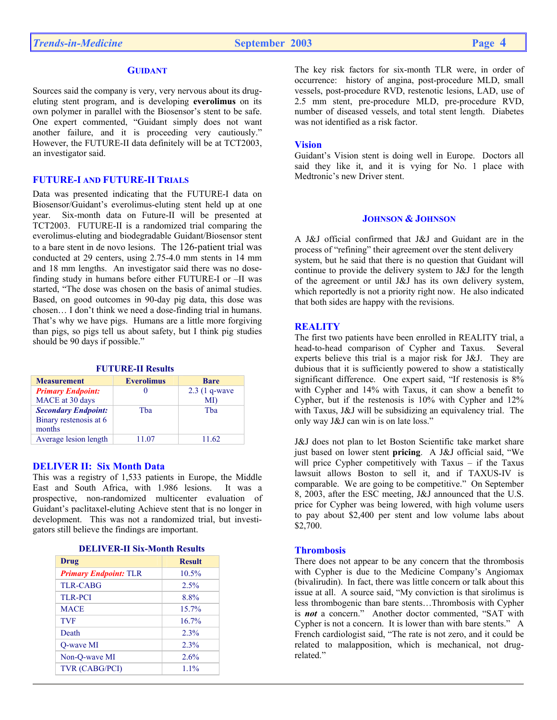# **GUIDANT**

Sources said the company is very, very nervous about its drugeluting stent program, and is developing **everolimus** on its own polymer in parallel with the Biosensor's stent to be safe. One expert commented, "Guidant simply does not want another failure, and it is proceeding very cautiously." However, the FUTURE-II data definitely will be at TCT2003, an investigator said.

### **FUTURE-I AND FUTURE-II TRIALS**

Data was presented indicating that the FUTURE-I data on Biosensor/Guidant's everolimus-eluting stent held up at one year. Six-month data on Future-II will be presented at TCT2003. FUTURE-II is a randomized trial comparing the everolimus-eluting and biodegradable Guidant/Biosensor stent to a bare stent in de novo lesions. The 126-patient trial was conducted at 29 centers, using 2.75-4.0 mm stents in 14 mm and 18 mm lengths. An investigator said there was no dosefinding study in humans before either FUTURE-I or –II was started, "The dose was chosen on the basis of animal studies. Based, on good outcomes in 90-day pig data, this dose was chosen… I don't think we need a dose-finding trial in humans. That's why we have pigs. Humans are a little more forgiving than pigs, so pigs tell us about safety, but I think pig studies should be 90 days if possible."

| <b>Measurement</b>                                             | <b>Everolimus</b> | <b>Bare</b>     |
|----------------------------------------------------------------|-------------------|-----------------|
| <b>Primary Endpoint:</b>                                       |                   | $2.3$ (1 q-wave |
| MACE at 30 days                                                |                   | MI)             |
| <b>Secondary Endpoint:</b><br>Binary restenosis at 6<br>months | Tha               | Tha             |
| Average lesion length                                          | 11.07             | 11.62           |

**FUTURE-II Results** 

### **DELIVER II: Six Month Data**

This was a registry of 1,533 patients in Europe, the Middle East and South Africa, with 1.986 lesions. It was a prospective, non-randomized multicenter evaluation of Guidant's paclitaxel-eluting Achieve stent that is no longer in development. This was not a randomized trial, but investigators still believe the findings are important.

| <b>DELIVER-II Six-Month Results</b> |  |  |
|-------------------------------------|--|--|
|-------------------------------------|--|--|

| Drug                         | <b>Result</b> |
|------------------------------|---------------|
| <b>Primary Endpoint: TLR</b> | $10.5\%$      |
| <b>TLR-CABG</b>              | 2.5%          |
| <b>TLR-PCI</b>               | 8.8%          |
| <b>MACE</b>                  | 15.7%         |
| <b>TVF</b>                   | 16.7%         |
| Death                        | $2.3\%$       |
| Q-wave MI                    | 2.3%          |
| Non-O-wave MI                | 2.6%          |
| <b>TVR (CABG/PCI)</b>        | $1.1\%$       |

The key risk factors for six-month TLR were, in order of occurrence: history of angina, post-procedure MLD, small vessels, post-procedure RVD, restenotic lesions, LAD, use of 2.5 mm stent, pre-procedure MLD, pre-procedure RVD, number of diseased vessels, and total stent length. Diabetes was not identified as a risk factor.

### **Vision**

Guidant's Vision stent is doing well in Europe. Doctors all said they like it, and it is vying for No. 1 place with Medtronic's new Driver stent.

### **JOHNSON & JOHNSON**

A J&J official confirmed that J&J and Guidant are in the process of "refining" their agreement over the stent delivery system, but he said that there is no question that Guidant will continue to provide the delivery system to J&J for the length of the agreement or until J&J has its own delivery system, which reportedly is not a priority right now. He also indicated that both sides are happy with the revisions.

### **REALITY**

The first two patients have been enrolled in REALITY trial, a head-to-head comparison of Cypher and Taxus. Several experts believe this trial is a major risk for J&J. They are dubious that it is sufficiently powered to show a statistically significant difference. One expert said, "If restenosis is 8% with Cypher and 14% with Taxus, it can show a benefit to Cypher, but if the restenosis is 10% with Cypher and 12% with Taxus, J&J will be subsidizing an equivalency trial. The only way J&J can win is on late loss."

J&J does not plan to let Boston Scientific take market share just based on lower stent **pricing**. A J&J official said, "We will price Cypher competitively with Taxus – if the Taxus lawsuit allows Boston to sell it, and if TAXUS-IV is comparable. We are going to be competitive." On September 8, 2003, after the ESC meeting, J&J announced that the U.S. price for Cypher was being lowered, with high volume users to pay about \$2,400 per stent and low volume labs about \$2,700.

# **Thrombosis**

There does not appear to be any concern that the thrombosis with Cypher is due to the Medicine Company's Angiomax (bivalirudin). In fact, there was little concern or talk about this issue at all. A source said, "My conviction is that sirolimus is less thrombogenic than bare stents…Thrombosis with Cypher is *not* a concern." Another doctor commented, "SAT with Cypher is not a concern. It is lower than with bare stents." A French cardiologist said, "The rate is not zero, and it could be related to malapposition, which is mechanical, not drugrelated."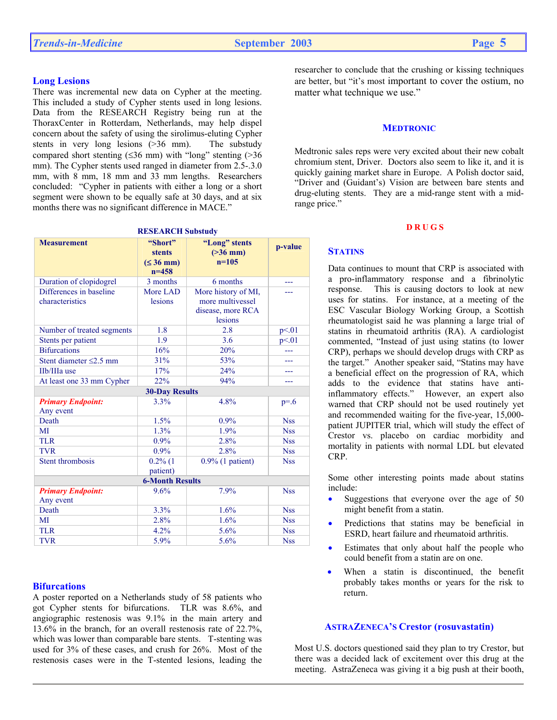# *Trends-in-Medicine* **September 2003 Page 5**

### **Long Lesions**

There was incremental new data on Cypher at the meeting. This included a study of Cypher stents used in long lesions. Data from the RESEARCH Registry being run at the ThoraxCenter in Rotterdam, Netherlands, may help dispel concern about the safety of using the sirolimus-eluting Cypher stents in very long lesions (>36 mm). The substudy compared short stenting  $(≤36$  mm) with "long" stenting  $(≥36$ mm). The Cypher stents used ranged in diameter from 2.5-.3.0 mm, with 8 mm, 18 mm and 33 mm lengths. Researchers concluded: "Cypher in patients with either a long or a short segment were shown to be equally safe at 30 days, and at six months there was no significant difference in MACE."

|                              | <b>RESEARCH Substudy</b>                                 |                     |            |
|------------------------------|----------------------------------------------------------|---------------------|------------|
| <b>Measurement</b>           | "Short"<br>"Long" stents<br>$( >36$ mm)<br><b>stents</b> |                     | p-value    |
|                              | $( \leq 36$ mm)                                          | $n=105$             |            |
|                              | $n=458$                                                  |                     |            |
| Duration of clopidogrel      | 3 months                                                 | 6 months            | ---        |
| Differences in baseline      | More LAD                                                 | More history of MI, |            |
| characteristics              | lesions                                                  | more multivessel    |            |
|                              |                                                          | disease, more RCA   |            |
|                              |                                                          | lesions             |            |
| Number of treated segments   | 1.8                                                      | 2.8                 | p<.01      |
| Stents per patient           | 1.9                                                      | 3.6                 | p<.01      |
| <b>Bifurcations</b>          | 16%                                                      | 20%                 |            |
| Stent diameter $\leq$ 2.5 mm | 31%                                                      | 53%                 |            |
| IIb/IIIa use                 | 17%                                                      | 24%                 | ---        |
| At least one 33 mm Cypher    | 22%                                                      | 94%                 | ---        |
|                              | <b>30-Day Results</b>                                    |                     |            |
| <b>Primary Endpoint:</b>     | 3.3%                                                     | 4.8%                | $p = 6$    |
| Any event                    |                                                          |                     |            |
| Death                        | 1.5%                                                     | $0.9\%$             | <b>Nss</b> |
| MI                           | 1.3%                                                     | 1.9%                | <b>Nss</b> |
| <b>TLR</b>                   | 0.9%                                                     | 2.8%                | <b>Nss</b> |
| <b>TVR</b>                   | 0.9%                                                     | 2.8%                | <b>Nss</b> |
| <b>Stent thrombosis</b>      | $0.2\%$ (1                                               | $0.9\%$ (1 patient) | <b>Nss</b> |
|                              | patient)                                                 |                     |            |
|                              | <b>6-Month Results</b>                                   |                     |            |
| <b>Primary Endpoint:</b>     | 9.6%                                                     | 7.9%                | <b>Nss</b> |
| Any event                    |                                                          |                     |            |
| Death                        | 3.3%                                                     | 1.6%                | <b>Nss</b> |
| MI                           | 2.8%                                                     | 1.6%                | <b>Nss</b> |
| <b>TLR</b>                   | 4.2%                                                     | 5.6%                | <b>Nss</b> |
| <b>TVR</b>                   | 5.9%                                                     | 5.6%                | <b>Nss</b> |

**RESEARCH Substudy** 

### **Bifurcations**

A poster reported on a Netherlands study of 58 patients who got Cypher stents for bifurcations. TLR was 8.6%, and angiographic restenosis was 9.1% in the main artery and 13.6% in the branch, for an overall restenosis rate of 22.7%, which was lower than comparable bare stents. T-stenting was used for 3% of these cases, and crush for 26%. Most of the restenosis cases were in the T-stented lesions, leading the

researcher to conclude that the crushing or kissing techniques are better, but "it's most important to cover the ostium, no matter what technique we use."

### **MEDTRONIC**

Medtronic sales reps were very excited about their new cobalt chromium stent, Driver. Doctors also seem to like it, and it is quickly gaining market share in Europe. A Polish doctor said, "Driver and (Guidant's) Vision are between bare stents and drug-eluting stents. They are a mid-range stent with a midrange price."

### **DRUGS**

### **STATINS**

Data continues to mount that CRP is associated with a pro-inflammatory response and a fibrinolytic response. This is causing doctors to look at new uses for statins. For instance, at a meeting of the ESC Vascular Biology Working Group, a Scottish rheumatologist said he was planning a large trial of statins in rheumatoid arthritis (RA). A cardiologist commented, "Instead of just using statins (to lower CRP), perhaps we should develop drugs with CRP as the target." Another speaker said, "Statins may have a beneficial effect on the progression of RA, which adds to the evidence that statins have antiinflammatory effects." However, an expert also warned that CRP should not be used routinely yet and recommended waiting for the five-year, 15,000 patient JUPITER trial, which will study the effect of Crestor vs. placebo on cardiac morbidity and mortality in patients with normal LDL but elevated CRP.

Some other interesting points made about statins include:

- Suggestions that everyone over the age of 50 might benefit from a statin.
- Predictions that statins may be beneficial in ESRD, heart failure and rheumatoid arthritis.
- Estimates that only about half the people who could benefit from a statin are on one.
- When a statin is discontinued, the benefit probably takes months or years for the risk to return.

### **ASTRAZENECA'S Crestor (rosuvastatin)**

Most U.S. doctors questioned said they plan to try Crestor, but there was a decided lack of excitement over this drug at the meeting. AstraZeneca was giving it a big push at their booth,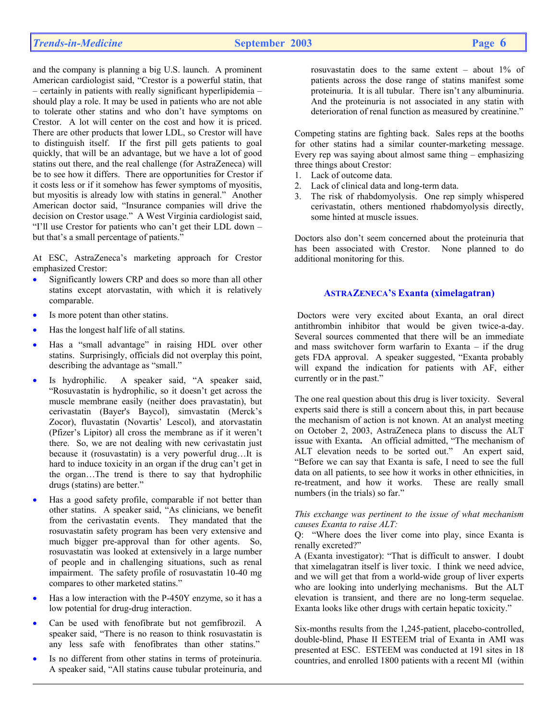and the company is planning a big U.S. launch. A prominent American cardiologist said, "Crestor is a powerful statin, that – certainly in patients with really significant hyperlipidemia – should play a role. It may be used in patients who are not able to tolerate other statins and who don't have symptoms on Crestor. A lot will center on the cost and how it is priced. There are other products that lower LDL, so Crestor will have to distinguish itself. If the first pill gets patients to goal quickly, that will be an advantage, but we have a lot of good statins out there, and the real challenge (for AstraZeneca) will be to see how it differs. There are opportunities for Crestor if it costs less or if it somehow has fewer symptoms of myositis, but myositis is already low with statins in general." Another American doctor said, "Insurance companies will drive the decision on Crestor usage." A West Virginia cardiologist said, "I'll use Crestor for patients who can't get their LDL down – but that's a small percentage of patients."

At ESC, AstraZeneca's marketing approach for Crestor emphasized Crestor:

- Significantly lowers CRP and does so more than all other statins except atorvastatin, with which it is relatively comparable.
- Is more potent than other statins.
- Has the longest half life of all statins.
- Has a "small advantage" in raising HDL over other statins. Surprisingly, officials did not overplay this point, describing the advantage as "small."
- Is hydrophilic. A speaker said, "A speaker said, "Rosuvastatin is hydrophilic, so it doesn't get across the muscle membrane easily (neither does pravastatin), but cerivastatin (Bayer's Baycol), simvastatin (Merck's Zocor), fluvastatin (Novartis' Lescol), and atorvastatin (Pfizer's Lipitor) all cross the membrane as if it weren't there. So, we are not dealing with new cerivastatin just because it (rosuvastatin) is a very powerful drug…It is hard to induce toxicity in an organ if the drug can't get in the organ…The trend is there to say that hydrophilic drugs (statins) are better."
- Has a good safety profile, comparable if not better than other statins. A speaker said, "As clinicians, we benefit from the cerivastatin events. They mandated that the rosuvastatin safety program has been very extensive and much bigger pre-approval than for other agents. So, rosuvastatin was looked at extensively in a large number of people and in challenging situations, such as renal impairment. The safety profile of rosuvastatin 10-40 mg compares to other marketed statins."
- Has a low interaction with the P-450Y enzyme, so it has a low potential for drug-drug interaction.
- Can be used with fenofibrate but not gemfibrozil. A speaker said, "There is no reason to think rosuvastatin is any less safe with fenofibrates than other statins."
- Is no different from other statins in terms of proteinuria. A speaker said, "All statins cause tubular proteinuria, and

rosuvastatin does to the same extent – about 1% of patients across the dose range of statins manifest some proteinuria. It is all tubular. There isn't any albuminuria. And the proteinuria is not associated in any statin with deterioration of renal function as measured by creatinine."

Competing statins are fighting back. Sales reps at the booths for other statins had a similar counter-marketing message. Every rep was saying about almost same thing – emphasizing three things about Crestor:

- 1. Lack of outcome data.
- 2. Lack of clinical data and long-term data.
- 3. The risk of rhabdomyolysis. One rep simply whispered cerivastatin, others mentioned rhabdomyolysis directly, some hinted at muscle issues.

Doctors also don't seem concerned about the proteinuria that has been associated with Crestor. None planned to do additional monitoring for this.

# **ASTRAZENECA'S Exanta (ximelagatran)**

Doctors were very excited about Exanta, an oral direct antithrombin inhibitor that would be given twice-a-day. Several sources commented that there will be an immediate and mass switchover form warfarin to Exanta – if the drug gets FDA approval. A speaker suggested, "Exanta probably will expand the indication for patients with AF, either currently or in the past."

The one real question about this drug is liver toxicity. Several experts said there is still a concern about this, in part because the mechanism of action is not known. At an analyst meeting on October 2, 2003, AstraZeneca plans to discuss the ALT issue with Exanta**.** An official admitted, "The mechanism of ALT elevation needs to be sorted out." An expert said, "Before we can say that Exanta is safe, I need to see the full data on all patients, to see how it works in other ethnicities, in re-treatment, and how it works. These are really small numbers (in the trials) so far."

*This exchange was pertinent to the issue of what mechanism causes Exanta to raise ALT:* 

Q: "Where does the liver come into play, since Exanta is renally excreted?"

A (Exanta investigator): "That is difficult to answer. I doubt that ximelagatran itself is liver toxic. I think we need advice, and we will get that from a world-wide group of liver experts who are looking into underlying mechanisms. But the ALT elevation is transient, and there are no long-term sequelae. Exanta looks like other drugs with certain hepatic toxicity."

Six-months results from the 1,245-patient, placebo-controlled, double-blind, Phase II ESTEEM trial of Exanta in AMI was presented at ESC. ESTEEM was conducted at 191 sites in 18 countries, and enrolled 1800 patients with a recent MI (within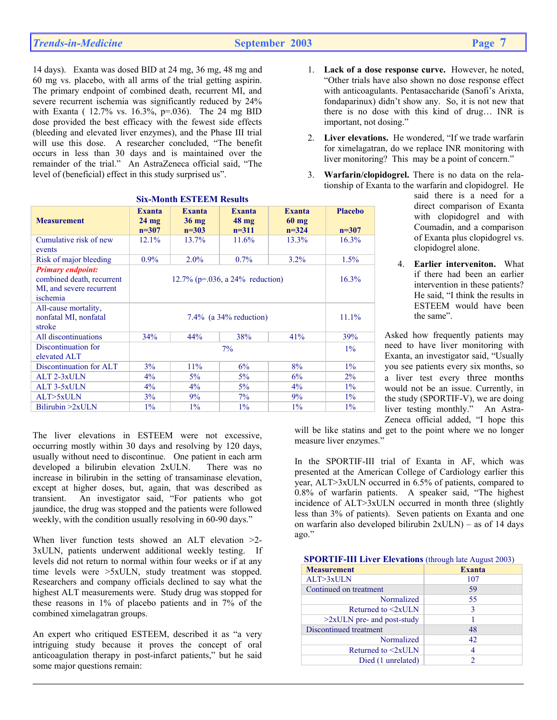14 days). Exanta was dosed BID at 24 mg, 36 mg, 48 mg and 60 mg vs. placebo, with all arms of the trial getting aspirin. The primary endpoint of combined death, recurrent MI, and severe recurrent ischemia was significantly reduced by 24% with Exanta ( 12.7% vs. 16.3%, p=.036). The 24 mg BID dose provided the best efficacy with the fewest side effects (bleeding and elevated liver enzymes), and the Phase III trial will use this dose. A researcher concluded, "The benefit occurs in less than 30 days and is maintained over the remainder of the trial." An AstraZeneca official said, "The level of (beneficial) effect in this study surprised us".

| <b>Measurement</b>                                                                            | <b>Exanta</b><br>$24 \text{ mg}$<br>$n=307$ | <b>Exanta</b><br>$36 \text{ mg}$<br>$n=303$ | <b>Exanta</b><br>$48 \text{ mg}$<br>$n=311$ | <b>Exanta</b><br>$60 \text{ mg}$<br>$n=324$ | <b>Placebo</b><br>$n=307$ |
|-----------------------------------------------------------------------------------------------|---------------------------------------------|---------------------------------------------|---------------------------------------------|---------------------------------------------|---------------------------|
| Cumulative risk of new<br>events                                                              | 12.1%                                       | 13.7%                                       | 11.6%                                       | 13.3%                                       | 16.3%                     |
| Risk of major bleeding                                                                        | 0.9%                                        | $2.0\%$                                     | $0.7\%$                                     | $3.2\%$                                     | $1.5\%$                   |
| <b>Primary endpoint:</b><br>combined death, recurrent<br>MI, and severe recurrent<br>ischemia |                                             | 12.7% (p=.036, a 24% reduction)             |                                             |                                             |                           |
| All-cause mortality,<br>nonfatal MI, nonfatal<br>stroke                                       |                                             | 7.4% (a $34\%$ reduction)                   |                                             |                                             |                           |
| All discontinuations                                                                          | 34%                                         | 44%                                         | 38%                                         | 41%                                         | 39%                       |
| Discontinuation for<br>elevated ALT                                                           | 7%                                          |                                             |                                             |                                             | $1\%$                     |
| Discontinuation for ALT                                                                       | 3%                                          | 11%                                         | 6%                                          | 8%                                          | $1\%$                     |
| ALT 2-3xULN                                                                                   | $4\%$                                       | 5%                                          | 5%                                          | 6%                                          | 2%                        |
| ALT 3-5xULN                                                                                   | 4%                                          | $4\%$                                       | 5%                                          | 4%                                          | $1\%$                     |
| ALT > 5xULN                                                                                   | 3%                                          | 9%                                          | 7%                                          | 9%                                          | $1\%$                     |
| Bilirubin > 2xULN                                                                             | $1\%$                                       | $1\%$                                       | $1\%$                                       | $1\%$                                       | $1\%$                     |

# **Six-Month ESTEEM Results**

- 1. **Lack of a dose response curve.** However, he noted, "Other trials have also shown no dose response effect with anticoagulants. Pentasaccharide (Sanofi's Arixta, fondaparinux) didn't show any. So, it is not new that there is no dose with this kind of drug… INR is important, not dosing."
- 2. **Liver elevations.** He wondered, "If we trade warfarin for ximelagatran, do we replace INR monitoring with liver monitoring? This may be a point of concern."
- 3. **Warfarin/clopidogrel.** There is no data on the relationship of Exanta to the warfarin and clopidogrel. He
	- said there is a need for a direct comparison of Exanta with clopidogrel and with Coumadin, and a comparison of Exanta plus clopidogrel vs. clopidogrel alone.
	- 4. **Earlier interveniton.** What if there had been an earlier intervention in these patients? He said, "I think the results in ESTEEM would have been the same".

Asked how frequently patients may need to have liver monitoring with Exanta, an investigator said, "Usually you see patients every six months, so a liver test every three months would not be an issue. Currently, in the study (SPORTIF-V), we are doing liver testing monthly." An Astra-Zeneca official added, "I hope this

The liver elevations in ESTEEM were not excessive, occurring mostly within 30 days and resolving by 120 days, usually without need to discontinue. One patient in each arm developed a bilirubin elevation 2xULN. There was no increase in bilirubin in the setting of transaminase elevation, except at higher doses, but, again, that was described as transient. An investigator said, "For patients who got jaundice, the drug was stopped and the patients were followed weekly, with the condition usually resolving in 60-90 days."

When liver function tests showed an ALT elevation  $>2$ -3xULN, patients underwent additional weekly testing. If levels did not return to normal within four weeks or if at any time levels were >5xULN, study treatment was stopped. Researchers and company officials declined to say what the highest ALT measurements were. Study drug was stopped for these reasons in 1% of placebo patients and in 7% of the combined ximelagatran groups.

An expert who critiqued ESTEEM, described it as "a very intriguing study because it proves the concept of oral anticoagulation therapy in post-infarct patients," but he said some major questions remain:

will be like statins and get to the point where we no longer measure liver enzymes."

In the SPORTIF-III trial of Exanta in AF, which was presented at the American College of Cardiology earlier this year, ALT>3xULN occurred in 6.5% of patients, compared to 0.8% of warfarin patients. A speaker said, "The highest incidence of ALT>3xULN occurred in month three (slightly less than 3% of patients). Seven patients on Exanta and one on warfarin also developed bilirubin 2xULN) – as of 14 days ago."

**SPORTIF-III Liver Elevations** (through late August 2003)

| <b>Measurement</b>           | <b>Exanta</b>  |
|------------------------------|----------------|
| ALT>3xULN                    | 107            |
| Continued on treatment       | 59             |
| Normalized                   | 55             |
| Returned to $\leq 2x$ ULN    | 3              |
| $>2xULN$ pre- and post-study |                |
| Discontinued treatment       | 48             |
| Normalized                   | 42             |
| Returned to <2xULN           | 4              |
| Died (1 unrelated)           | $\mathfrak{D}$ |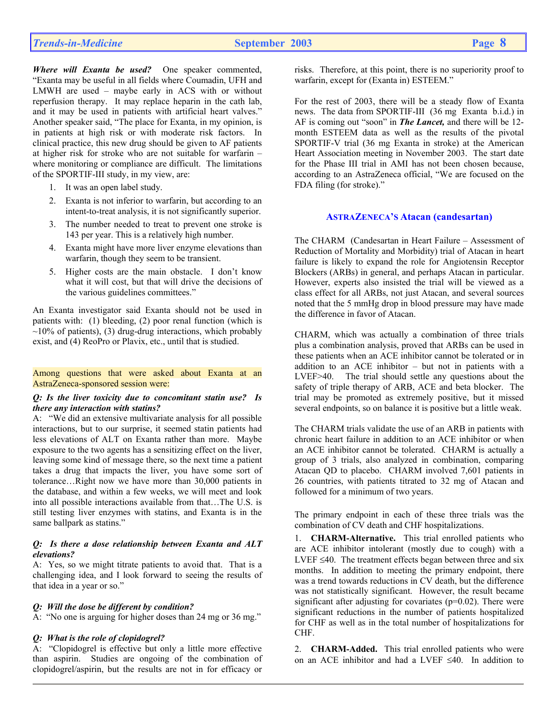*Where will Exanta be used?* One speaker commented, "Exanta may be useful in all fields where Coumadin, UFH and LMWH are used – maybe early in ACS with or without reperfusion therapy. It may replace heparin in the cath lab, and it may be used in patients with artificial heart valves." Another speaker said, "The place for Exanta, in my opinion, is in patients at high risk or with moderate risk factors. In clinical practice, this new drug should be given to AF patients at higher risk for stroke who are not suitable for warfarin – where monitoring or compliance are difficult. The limitations of the SPORTIF-III study, in my view, are:

- 1. It was an open label study.
- 2. Exanta is not inferior to warfarin, but according to an intent-to-treat analysis, it is not significantly superior.
- 3. The number needed to treat to prevent one stroke is 143 per year. This is a relatively high number.
- 4. Exanta might have more liver enzyme elevations than warfarin, though they seem to be transient.
- 5. Higher costs are the main obstacle. I don't know what it will cost, but that will drive the decisions of the various guidelines committees."

An Exanta investigator said Exanta should not be used in patients with: (1) bleeding, (2) poor renal function (which is  $\sim$ 10% of patients), (3) drug-drug interactions, which probably exist, and (4) ReoPro or Plavix, etc., until that is studied.

Among questions that were asked about Exanta at an AstraZeneca-sponsored session were:

### *Q: Is the liver toxicity due to concomitant statin use? Is there any interaction with statins?*

A: "We did an extensive multivariate analysis for all possible interactions, but to our surprise, it seemed statin patients had less elevations of ALT on Exanta rather than more. Maybe exposure to the two agents has a sensitizing effect on the liver, leaving some kind of message there, so the next time a patient takes a drug that impacts the liver, you have some sort of tolerance…Right now we have more than 30,000 patients in the database, and within a few weeks, we will meet and look into all possible interactions available from that…The U.S. is still testing liver enzymes with statins, and Exanta is in the same ballpark as statins."

### *Q: Is there a dose relationship between Exanta and ALT elevations?*

A: Yes, so we might titrate patients to avoid that. That is a challenging idea, and I look forward to seeing the results of that idea in a year or so."

# *Q: Will the dose be different by condition?*

A: "No one is arguing for higher doses than 24 mg or 36 mg."

### *Q: What is the role of clopidogrel?*

A: "Clopidogrel is effective but only a little more effective than aspirin. Studies are ongoing of the combination of clopidogrel/aspirin, but the results are not in for efficacy or risks. Therefore, at this point, there is no superiority proof to warfarin, except for (Exanta in) ESTEEM."

For the rest of 2003, there will be a steady flow of Exanta news. The data from SPORTIF-III (36 mg Exanta b.i.d.) in AF is coming out "soon" in *The Lancet,* and there will be 12 month ESTEEM data as well as the results of the pivotal SPORTIF-V trial (36 mg Exanta in stroke) at the American Heart Association meeting in November 2003. The start date for the Phase III trial in AMI has not been chosen because, according to an AstraZeneca official, "We are focused on the FDA filing (for stroke)."

### **ASTRAZENECA'S Atacan (candesartan)**

The CHARM (Candesartan in Heart Failure – Assessment of Reduction of Mortality and Morbidity) trial of Atacan in heart failure is likely to expand the role for Angiotensin Receptor Blockers (ARBs) in general, and perhaps Atacan in particular. However, experts also insisted the trial will be viewed as a class effect for all ARBs, not just Atacan, and several sources noted that the 5 mmHg drop in blood pressure may have made the difference in favor of Atacan.

CHARM, which was actually a combination of three trials plus a combination analysis, proved that ARBs can be used in these patients when an ACE inhibitor cannot be tolerated or in addition to an ACE inhibitor – but not in patients with a LVEF>40. The trial should settle any questions about the safety of triple therapy of ARB, ACE and beta blocker. The trial may be promoted as extremely positive, but it missed several endpoints, so on balance it is positive but a little weak.

The CHARM trials validate the use of an ARB in patients with chronic heart failure in addition to an ACE inhibitor or when an ACE inhibitor cannot be tolerated. CHARM is actually a group of 3 trials, also analyzed in combination, comparing Atacan QD to placebo. CHARM involved 7,601 patients in 26 countries, with patients titrated to 32 mg of Atacan and followed for a minimum of two years.

The primary endpoint in each of these three trials was the combination of CV death and CHF hospitalizations.

1. **CHARM-Alternative.** This trial enrolled patients who are ACE inhibitor intolerant (mostly due to cough) with a LVEF ≤40.The treatment effects began between three and six months. In addition to meeting the primary endpoint, there was a trend towards reductions in CV death, but the difference was not statistically significant. However, the result became significant after adjusting for covariates  $(p=0.02)$ . There were significant reductions in the number of patients hospitalized for CHF as well as in the total number of hospitalizations for CHF.

2. **CHARM-Added.** This trial enrolled patients who were on an ACE inhibitor and had a LVEF ≤40.In addition to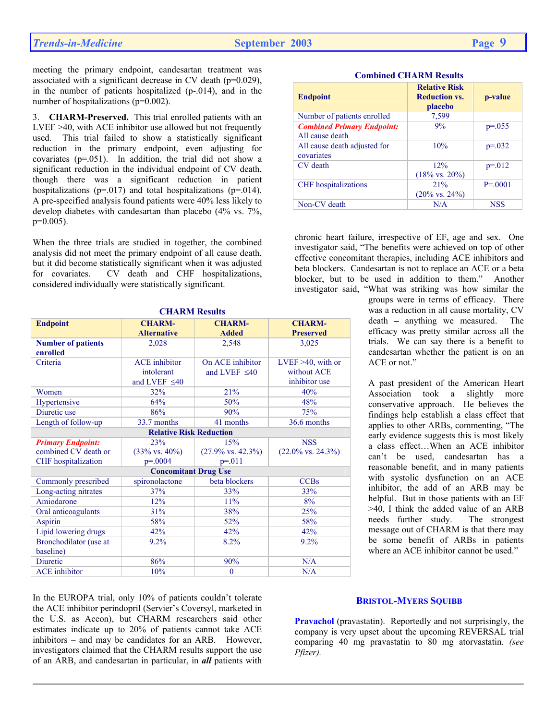meeting the primary endpoint, candesartan treatment was associated with a significant decrease in CV death (p=0.029), in the number of patients hospitalized (p-.014), and in the number of hospitalizations (p=0.002).

3. **CHARM-Preserved.** This trial enrolled patients with an LVEF >40, with ACE inhibitor use allowed but not frequently used.This trial failed to show a statistically significant reduction in the primary endpoint, even adjusting for covariates (p=.051). In addition, the trial did not show a significant reduction in the individual endpoint of CV death, though there was a significant reduction in patient hospitalizations ( $p=017$ ) and total hospitalizations ( $p=014$ ). A pre-specified analysis found patients were 40% less likely to develop diabetes with candesartan than placebo (4% vs. 7%,  $p=0.005$ ).

When the three trials are studied in together, the combined analysis did not meet the primary endpoint of all cause death, but it did become statistically significant when it was adjusted for covariates. CV death and CHF hospitalizations, considered individually were statistically significant.

**Alternative** 

intolerant and LVEF  $\leq 40$ 

23% (33% vs. 40%) p=.0004

Women 32% 21% 20% 40% Hypertensive  $64\%$   $50\%$   $48\%$ Diuretic use  $86\%$  90% 75% 75% Length of follow-up 33.7 months 41 months 36.6 months **Relative Risk Reduction** 

**Concomitant Drug Use**  Commonly prescribed spironolactone beta blockers CCBs Long-acting nitrates  $37\%$  33% 33% 33% Amiodarone 12% 11% 8% Oral anticoagulants 31% 38% 38% 25% Aspirin 58% 58% 52% 58% Lipid lowering drugs  $42\%$   $42\%$   $42\%$ 

Diuretic 190% 86% 90% N/A ACE inhibitor  $10\%$  0 N/A

Endpoint **CHARM-**

Criteria ACE inhibitor

**Number of patients** 

*Primary Endpoint:*  combined CV death or CHF hospitalization

Bronchodilator (use at

baseline)

**enrolled**

**CHARM Results** 

**CHARM-Added** 

2,028 2,548 3,025

On ACE inhibitor and LVEF  $\leq 40$ 

15% (27.9% vs. 42.3%)  $p = 011$ 

9.2% 8.2% 9.2%

**CHARM-Preserved** 

LVEF >40, with or without ACE inhibitor use

**NSS** (22.0% vs. 24.3%)

In the EUROPA trial, only 10% of patients couldn't tolerate the ACE inhibitor perindopril (Servier's Coversyl, marketed in the U.S. as Aceon), but CHARM researchers said other estimates indicate up to 20% of patients cannot take ACE inhibitors – and may be candidates for an ARB. However, investigators claimed that the CHARM results support the use of an ARB, and candesartan in particular, in *all* patients with

**Pravachol** (pravastatin). Reportedly and not surprisingly, the company is very upset about the upcoming REVERSAL trial comparing 40 mg pravastatin to 80 mg atorvastatin. *(see Pfizer).* 

| <b>Endpoint</b>                                      | <b>Relative Risk</b><br><b>Reduction vs.</b><br>placebo | p-value    |
|------------------------------------------------------|---------------------------------------------------------|------------|
| Number of patients enrolled                          | 7,599                                                   |            |
| <b>Combined Primary Endpoint:</b><br>All cause death | 9%                                                      | $p=.055$   |
| All cause death adjusted for<br>covariates           | 10%                                                     | $p=.032$   |
| CV death                                             | 12%<br>$(18\% \text{ vs. } 20\%)$                       | $p = 012$  |
| <b>CHF</b> hospitalizations                          | $2.1\%$<br>$(20\% \text{ vs. } 24\%)$                   | $P = 0001$ |
| Non-CV death                                         | N/A                                                     | <b>NSS</b> |

**Combined CHARM Results** 

chronic heart failure, irrespective of EF, age and sex. One investigator said, "The benefits were achieved on top of other effective concomitant therapies, including ACE inhibitors and beta blockers. Candesartan is not to replace an ACE or a beta blocker, but to be used in addition to them." Another investigator said, "What was striking was how similar the

groups were in terms of efficacy. There was a reduction in all cause mortality, CV death **–** anything we measured. The efficacy was pretty similar across all the trials. We can say there is a benefit to candesartan whether the patient is on an ACE or not."

A past president of the American Heart Association took a slightly more conservative approach. He believes the findings help establish a class effect that applies to other ARBs, commenting, "The early evidence suggests this is most likely a class effect…When an ACE inhibitor can't be used, candesartan has a reasonable benefit, and in many patients with systolic dysfunction on an ACE inhibitor, the add of an ARB may be helpful. But in those patients with an EF >40, I think the added value of an ARB needs further study. The strongest message out of CHARM is that there may be some benefit of ARBs in patients where an ACE inhibitor cannot be used."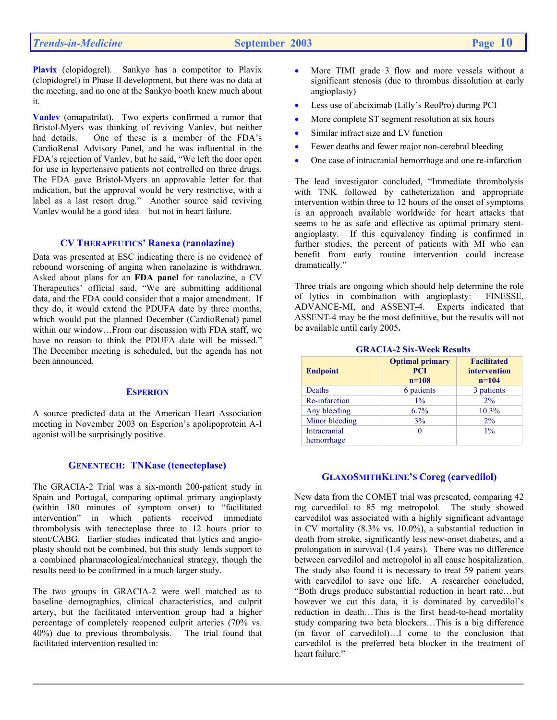Plavix (clopidogrel). Sankyo has a competitor to Plavix (clopidogrel) in Phase II development, but there was no data at the meeting, and no one at the Sankyo booth knew much about it.

**Vanlev** (omapatrilat). Two experts confirmed a rumor that Bristol-Myers was thinking of reviving Vanlev, but neither had details. One of these is a member of the FDA's CardioRenal Advisory Panel, and he was influential in the FDA's rejection of Vanlev, but he said, "We left the door open for use in hypertensive patients not controlled on three drugs. The FDA gave Bristol-Myers an approvable letter for that indication, but the approval would be very restrictive, with a label as a last resort drug." Another source said reviving Vanlev would be a good idea – but not in heart failure.

# **CV THERAPEUTICS' Ranexa (ranolazine)**

Data was presented at ESC indicating there is no evidence of rebound worsening of angina when ranolazine is withdrawn. Asked about plans for an **FDA panel** for ranolazine, a CV Therapeutics' official said, "We are submitting additional data, and the FDA could consider that a major amendment. If they do, it would extend the PDUFA date by three months, which would put the planned December (CardioRenal) panel within our window…From our discussion with FDA staff, we have no reason to think the PDUFA date will be missed." The December meeting is scheduled, but the agenda has not been announced.

# **ESPERION**

A source predicted data at the American Heart Association meeting in November 2003 on Esperion's apolipoprotein A-I agonist will be surprisingly positive.

# **GENENTECH: TNKase (tenecteplase)**

The GRACIA-2 Trial was a six-month 200-patient study in Spain and Portugal, comparing optimal primary angioplasty (within 180 minutes of symptom onset) to "facilitated intervention" in which patients received immediate thrombolysis with tenecteplase three to 12 hours prior to stent/CABG. Earlier studies indicated that lytics and angioplasty should not be combined, but this study lends support to a combined pharmacological/mechanical strategy, though the results need to be confirmed in a much larger study.

The two groups in GRACIA-2 were well matched as to baseline demographics, clinical characteristics, and culprit artery, but the facilitated intervention group had a higher percentage of completely reopened culprit arteries (70% vs. 40%) due to previous thrombolysis. The trial found that facilitated intervention resulted in:

- More TIMI grade 3 flow and more vessels without a significant stenosis (due to thrombus dissolution at early angioplasty)
- Less use of abciximab (Lilly's ReoPro) during PCI
- More complete ST segment resolution at six hours
- Similar infract size and LV function
- Fewer deaths and fewer major non-cerebral bleeding
- One case of intracranial hemorrhage and one re-infarction

The lead investigator concluded, "Immediate thrombolysis with TNK followed by catheterization and appropriate intervention within three to 12 hours of the onset of symptoms is an approach available worldwide for heart attacks that seems to be as safe and effective as optimal primary stentangioplasty. If this equivalency finding is confirmed in further studies, the percent of patients with MI who can benefit from early routine intervention could increase dramatically."

Three trials are ongoing which should help determine the role of lytics in combination with angioplasty: FINESSE, ADVANCE-MI, and ASSENT-4. Experts indicated that ASSENT-4 may be the most definitive, but the results will not be available until early 2005**.** 

| <b>Endpoint</b>     | <b>Optimal primary</b><br><b>PCI</b><br>$n=108$ | <b>Facilitated</b><br>intervention<br>$n=104$ |
|---------------------|-------------------------------------------------|-----------------------------------------------|
| Deaths              | 6 patients                                      | 3 patients                                    |
| Re-infarction       | $1\%$                                           | 2%                                            |
| Any bleeding        | $6.7\%$                                         | 10.3%                                         |
| Minor bleeding      | 3%                                              | $2\%$                                         |
| <b>Intracranial</b> |                                                 | $1\%$                                         |
| hemorrhage          |                                                 |                                               |

# **GRACIA-2 Six-Week Results**

# **GLAXOSMITHKLINE'S Coreg (carvedilol)**

New data from the COMET trial was presented, comparing 42 mg carvedilol to 85 mg metropolol. The study showed carvedilol was associated with a highly significant advantage in CV mortality (8.3% vs. 10.0%), a substantial reduction in death from stroke, significantly less new-onset diabetes, and a prolongation in survival (1.4 years). There was no difference between carvedilol and metropolol in all cause hospitalization. The study also found it is necessary to treat 59 patient years with carvedilol to save one life. A researcher concluded, "Both drugs produce substantial reduction in heart rate…but however we cut this data, it is dominated by carvedilol's reduction in death…This is the first head-to-head mortality study comparing two beta blockers…This is a big difference (in favor of carvedilol)…I come to the conclusion that carvedilol is the preferred beta blocker in the treatment of heart failure."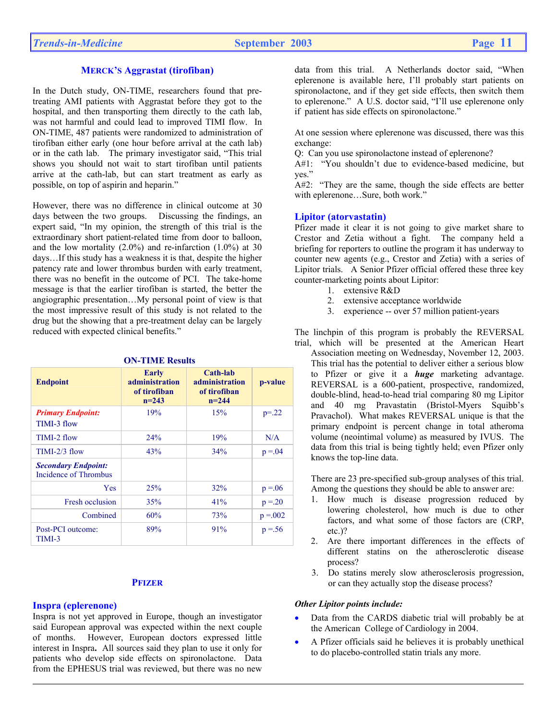# **MERCK'S Aggrastat (tirofiban)**

In the Dutch study, ON-TIME, researchers found that pretreating AMI patients with Aggrastat before they got to the hospital, and then transporting them directly to the cath lab, was not harmful and could lead to improved TIMI flow. In ON-TIME, 487 patients were randomized to administration of tirofiban either early (one hour before arrival at the cath lab) or in the cath lab. The primary investigator said, "This trial shows you should not wait to start tirofiban until patients arrive at the cath-lab, but can start treatment as early as possible, on top of aspirin and heparin."

However, there was no difference in clinical outcome at 30 days between the two groups. Discussing the findings, an expert said, "In my opinion, the strength of this trial is the extraordinary short patient-related time from door to balloon, and the low mortality  $(2.0\%)$  and re-infarction  $(1.0\%)$  at 30 days…If this study has a weakness it is that, despite the higher patency rate and lower thrombus burden with early treatment, there was no benefit in the outcome of PCI. The take-home message is that the earlier tirofiban is started, the better the angiographic presentation…My personal point of view is that the most impressive result of this study is not related to the drug but the showing that a pre-treatment delay can be largely reduced with expected clinical benefits."

| <b>Endpoint</b>                                     | <b>Early</b><br>administration<br>of tirofiban<br>$n=243$ | Cath-lab<br>administration<br>of tirofiban<br>$n=244$ | p-value     |
|-----------------------------------------------------|-----------------------------------------------------------|-------------------------------------------------------|-------------|
| <b>Primary Endpoint:</b>                            | 19%                                                       | 15%                                                   | $p = 22$    |
| TIMI-3 flow                                         |                                                           |                                                       |             |
| TIMI-2 flow                                         | 24%                                                       | 19%                                                   | N/A         |
| $TIMI-2/3$ flow                                     | 43%                                                       | 34%                                                   | $p = 0.04$  |
| <b>Secondary Endpoint:</b><br>Incidence of Thrombus |                                                           |                                                       |             |
| Yes                                                 | 25%                                                       | 32%                                                   | $p = 0.06$  |
| Fresh occlusion                                     | 35%                                                       | 41%                                                   | $p = 20$    |
| Combined                                            | 60%                                                       | 73%                                                   | $p = 0.002$ |
| Post-PCI outcome:<br>TIMI-3                         | 89%                                                       | 91%                                                   | $p = 56$    |

### **ON-TIME Results**

### **PFIZER**

# **Inspra (eplerenone)**

Inspra is not yet approved in Europe, though an investigator said European approval was expected within the next couple of months. However, European doctors expressed little interest in Inspra**.** All sources said they plan to use it only for patients who develop side effects on spironolactone. Data from the EPHESUS trial was reviewed, but there was no new

data from this trial. A Netherlands doctor said, "When eplerenone is available here, I'll probably start patients on spironolactone, and if they get side effects, then switch them to eplerenone." A U.S. doctor said, "I'll use eplerenone only if patient has side effects on spironolactone."

At one session where eplerenone was discussed, there was this exchange:

Q: Can you use spironolactone instead of eplerenone?

A#1: "You shouldn't due to evidence-based medicine, but yes."

A#2: "They are the same, though the side effects are better with eplerenone…Sure, both work."

### **Lipitor (atorvastatin)**

Pfizer made it clear it is not going to give market share to Crestor and Zetia without a fight. The company held a briefing for reporters to outline the program it has underway to counter new agents (e.g., Crestor and Zetia) with a series of Lipitor trials. A Senior Pfizer official offered these three key counter-marketing points about Lipitor:

- 1. extensive R&D
- 2. extensive acceptance worldwide
- 3. experience -- over 57 million patient-years

The linchpin of this program is probably the REVERSAL trial, which will be presented at the American Heart

Association meeting on Wednesday, November 12, 2003. This trial has the potential to deliver either a serious blow to Pfizer or give it a *huge* marketing advantage. REVERSAL is a 600-patient, prospective, randomized, double-blind, head-to-head trial comparing 80 mg Lipitor and 40 mg Pravastatin (Bristol-Myers Squibb's Pravachol). What makes REVERSAL unique is that the primary endpoint is percent change in total atheroma volume (neointimal volume) as measured by IVUS. The data from this trial is being tightly held; even Pfizer only knows the top-line data.

There are 23 pre-specified sub-group analyses of this trial. Among the questions they should be able to answer are:

- 1. How much is disease progression reduced by lowering cholesterol, how much is due to other factors, and what some of those factors are (CRP, etc.)?
- 2. Are there important differences in the effects of different statins on the atherosclerotic disease process?
- 3. Do statins merely slow atherosclerosis progression, or can they actually stop the disease process?

### *Other Lipitor points include:*

- Data from the CARDS diabetic trial will probably be at the American College of Cardiology in 2004.
- A Pfizer officials said he believes it is probably unethical to do placebo-controlled statin trials any more.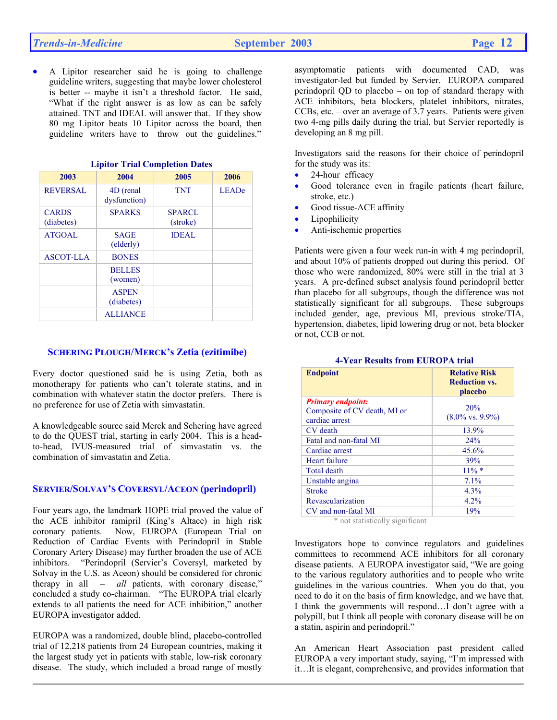• A Lipitor researcher said he is going to challenge guideline writers, suggesting that maybe lower cholesterol is better -- maybe it isn't a threshold factor. He said, "What if the right answer is as low as can be safely attained. TNT and IDEAL will answer that. If they show 80 mg Lipitor beats 10 Lipitor across the board, then guideline writers have to throw out the guidelines."

| 2003                       | 2004                       | 2005                      | 2006         |
|----------------------------|----------------------------|---------------------------|--------------|
| <b>REVERSAL</b>            | 4D (renal<br>dysfunction)  | <b>TNT</b>                | <b>LEADe</b> |
| <b>CARDS</b><br>(diabetes) | <b>SPARKS</b>              | <b>SPARCL</b><br>(stroke) |              |
| <b>ATGOAL</b>              | <b>SAGE</b><br>(elderly)   | <b>IDEAL</b>              |              |
| <b>ASCOT-LLA</b>           | <b>BONES</b>               |                           |              |
|                            | <b>BELLES</b><br>(women)   |                           |              |
|                            | <b>ASPEN</b><br>(diabetes) |                           |              |
|                            | <b>ALLIANCE</b>            |                           |              |

### **Lipitor Trial Completion Dates**

# **SCHERING PLOUGH/MERCK's Zetia (ezitimibe)**

Every doctor questioned said he is using Zetia, both as monotherapy for patients who can't tolerate statins, and in combination with whatever statin the doctor prefers. There is no preference for use of Zetia with simvastatin.

A knowledgeable source said Merck and Schering have agreed to do the QUEST trial, starting in early 2004. This is a headto-head, IVUS-measured trial of simvastatin vs. the combination of simvastatin and Zetia.

# **SERVIER/SOLVAY'S COVERSYL/ACEON (perindopril)**

Four years ago, the landmark HOPE trial proved the value of the ACE inhibitor ramipril (King's Altace) in high risk coronary patients. Now, EUROPA (European Trial on Reduction of Cardiac Events with Perindopril in Stable Coronary Artery Disease) may further broaden the use of ACE inhibitors. "Perindopril (Servier's Coversyl, marketed by Solvay in the U.S. as Aceon) should be considered for chronic therapy in all – *all* patients, with coronary disease," concluded a study co-chairman. "The EUROPA trial clearly extends to all patients the need for ACE inhibition," another EUROPA investigator added.

EUROPA was a randomized, double blind, placebo-controlled trial of 12,218 patients from 24 European countries, making it the largest study yet in patients with stable, low-risk coronary disease. The study, which included a broad range of mostly

asymptomatic patients with documented CAD, was investigator-led but funded by Servier. EUROPA compared perindopril QD to placebo – on top of standard therapy with ACE inhibitors, beta blockers, platelet inhibitors, nitrates, CCBs, etc. – over an average of 3.7 years. Patients were given two 4-mg pills daily during the trial, but Servier reportedly is developing an 8 mg pill.

Investigators said the reasons for their choice of perindopril for the study was its:

- 24-hour efficacy
- Good tolerance even in fragile patients (heart failure, stroke, etc.)
- Good tissue-ACE affinity
- **Lipophilicity**
- Anti-ischemic properties

Patients were given a four week run-in with 4 mg perindopril, and about 10% of patients dropped out during this period. Of those who were randomized, 80% were still in the trial at 3 years. A pre-defined subset analysis found perindopril better than placebo for all subgroups, though the difference was not statistically significant for all subgroups. These subgroups included gender, age, previous MI, previous stroke/TIA, hypertension, diabetes, lipid lowering drug or not, beta blocker or not, CCB or not.

### **Endpoint Relative Risk Reduction vs. placebo**  *Primary endpoint:*  Composite of CV death, MI or cardiac arrest 20%  $(8.0\% \text{ vs. } 9.9\%)$  $CV$  death  $13.9\%$ Fatal and non-fatal MI 24% Cardiac arrest 45.6% Heart failure 39% Total death 11% \* Unstable angina 7.1% Stroke  $4.3\%$ Revascularization 4.2% CV and non-fatal MI 19%

### **4-Year Results from EUROPA trial**

\* not statistically significant

Investigators hope to convince regulators and guidelines committees to recommend ACE inhibitors for all coronary disease patients. A EUROPA investigator said, "We are going to the various regulatory authorities and to people who write guidelines in the various countries. When you do that, you need to do it on the basis of firm knowledge, and we have that. I think the governments will respond…I don't agree with a polypill, but I think all people with coronary disease will be on a statin, aspirin and perindopril."

An American Heart Association past president called EUROPA a very important study, saying, "I'm impressed with it…It is elegant, comprehensive, and provides information that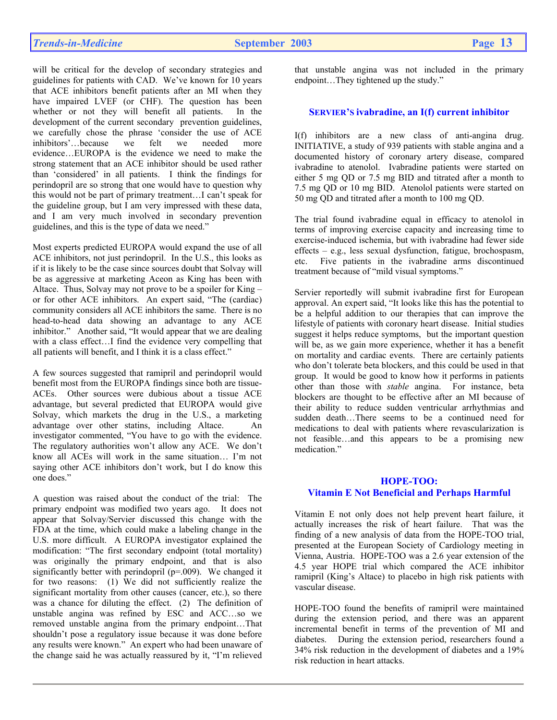will be critical for the develop of secondary strategies and guidelines for patients with CAD. We've known for 10 years that ACE inhibitors benefit patients after an MI when they have impaired LVEF (or CHF). The question has been whether or not they will benefit all patients. In the development of the current secondary prevention guidelines, we carefully chose the phrase 'consider the use of ACE inhibitors'…because we felt we needed more evidence…EUROPA is the evidence we need to make the strong statement that an ACE inhibitor should be used rather than 'considered' in all patients. I think the findings for perindopril are so strong that one would have to question why this would not be part of primary treatment…I can't speak for the guideline group, but I am very impressed with these data, and I am very much involved in secondary prevention guidelines, and this is the type of data we need."

Most experts predicted EUROPA would expand the use of all ACE inhibitors, not just perindopril. In the U.S., this looks as if it is likely to be the case since sources doubt that Solvay will be as aggressive at marketing Aceon as King has been with Altace. Thus, Solvay may not prove to be a spoiler for King – or for other ACE inhibitors. An expert said, "The (cardiac) community considers all ACE inhibitors the same. There is no head-to-head data showing an advantage to any ACE inhibitor." Another said, "It would appear that we are dealing with a class effect…I find the evidence very compelling that all patients will benefit, and I think it is a class effect."

A few sources suggested that ramipril and perindopril would benefit most from the EUROPA findings since both are tissue-ACEs. Other sources were dubious about a tissue ACE advantage, but several predicted that EUROPA would give Solvay, which markets the drug in the U.S., a marketing advantage over other statins, including Altace. An investigator commented, "You have to go with the evidence. The regulatory authorities won't allow any ACE. We don't know all ACEs will work in the same situation… I'm not saying other ACE inhibitors don't work, but I do know this one does."

A question was raised about the conduct of the trial: The primary endpoint was modified two years ago. It does not appear that Solvay/Servier discussed this change with the FDA at the time, which could make a labeling change in the U.S. more difficult. A EUROPA investigator explained the modification: "The first secondary endpoint (total mortality) was originally the primary endpoint, and that is also significantly better with perindopril (p=.009). We changed it for two reasons: (1) We did not sufficiently realize the significant mortality from other causes (cancer, etc.), so there was a chance for diluting the effect. (2) The definition of unstable angina was refined by ESC and ACC…so we removed unstable angina from the primary endpoint…That shouldn't pose a regulatory issue because it was done before any results were known." An expert who had been unaware of the change said he was actually reassured by it, "I'm relieved

that unstable angina was not included in the primary endpoint…They tightened up the study."

### **SERVIER'S ivabradine, an I(f) current inhibitor**

I(f) inhibitors are a new class of anti-angina drug. INITIATIVE, a study of 939 patients with stable angina and a documented history of coronary artery disease, compared ivabradine to atenolol. Ivabradine patients were started on either 5 mg QD or 7.5 mg BID and titrated after a month to 7.5 mg QD or 10 mg BID. Atenolol patients were started on 50 mg QD and titrated after a month to 100 mg QD.

The trial found ivabradine equal in efficacy to atenolol in terms of improving exercise capacity and increasing time to exercise-induced ischemia, but with ivabradine had fewer side effects – e.g., less sexual dysfunction, fatigue, brochospasm, etc. Five patients in the ivabradine arms discontinued treatment because of "mild visual symptoms."

Servier reportedly will submit ivabradine first for European approval. An expert said, "It looks like this has the potential to be a helpful addition to our therapies that can improve the lifestyle of patients with coronary heart disease. Initial studies suggest it helps reduce symptoms, but the important question will be, as we gain more experience, whether it has a benefit on mortality and cardiac events. There are certainly patients who don't tolerate beta blockers, and this could be used in that group. It would be good to know how it performs in patients other than those with *stable* angina. For instance, beta blockers are thought to be effective after an MI because of their ability to reduce sudden ventricular arrhythmias and sudden death…There seems to be a continued need for medications to deal with patients where revascularization is not feasible…and this appears to be a promising new medication."

# **HOPE-TOO: Vitamin E Not Beneficial and Perhaps Harmful**

Vitamin E not only does not help prevent heart failure, it actually increases the risk of heart failure. That was the finding of a new analysis of data from the HOPE-TOO trial, presented at the European Society of Cardiology meeting in Vienna, Austria. HOPE-TOO was a 2.6 year extension of the 4.5 year HOPE trial which compared the ACE inhibitor ramipril (King's Altace) to placebo in high risk patients with vascular disease.

HOPE-TOO found the benefits of ramipril were maintained during the extension period, and there was an apparent incremental benefit in terms of the prevention of MI and diabetes. During the extension period, researchers found a 34% risk reduction in the development of diabetes and a 19% risk reduction in heart attacks.